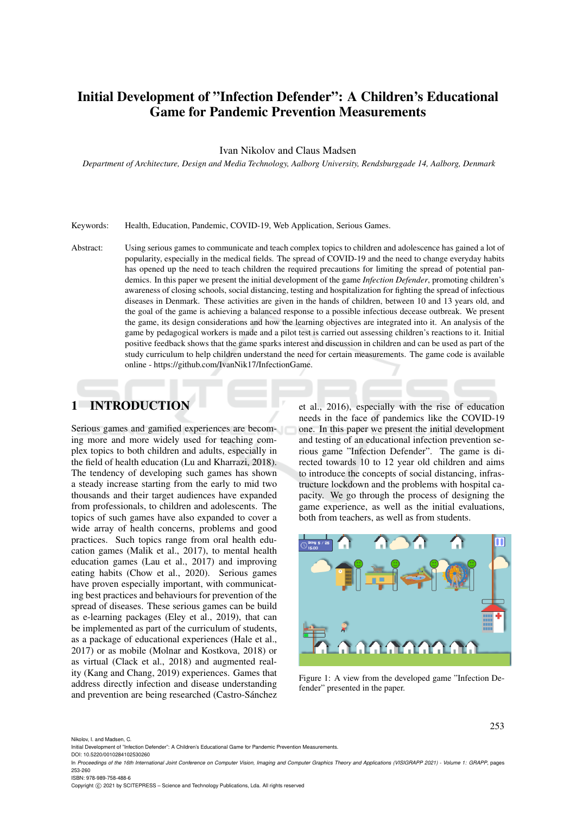# Initial Development of "Infection Defender": A Children's Educational Game for Pandemic Prevention Measurements

Ivan Nikolov and Claus Madsen

*Department of Architecture, Design and Media Technology, Aalborg University, Rendsburggade 14, Aalborg, Denmark*

Keywords: Health, Education, Pandemic, COVID-19, Web Application, Serious Games.

Abstract: Using serious games to communicate and teach complex topics to children and adolescence has gained a lot of popularity, especially in the medical fields. The spread of COVID-19 and the need to change everyday habits has opened up the need to teach children the required precautions for limiting the spread of potential pandemics. In this paper we present the initial development of the game *Infection Defender*, promoting children's awareness of closing schools, social distancing, testing and hospitalization for fighting the spread of infectious diseases in Denmark. These activities are given in the hands of children, between 10 and 13 years old, and the goal of the game is achieving a balanced response to a possible infectious decease outbreak. We present the game, its design considerations and how the learning objectives are integrated into it. An analysis of the game by pedagogical workers is made and a pilot test is carried out assessing children's reactions to it. Initial positive feedback shows that the game sparks interest and discussion in children and can be used as part of the study curriculum to help children understand the need for certain measurements. The game code is available online - https://github.com/IvanNik17/InfectionGame.

# 1 INTRODUCTION

Serious games and gamified experiences are becoming more and more widely used for teaching complex topics to both children and adults, especially in the field of health education (Lu and Kharrazi, 2018). The tendency of developing such games has shown a steady increase starting from the early to mid two thousands and their target audiences have expanded from professionals, to children and adolescents. The topics of such games have also expanded to cover a wide array of health concerns, problems and good practices. Such topics range from oral health education games (Malik et al., 2017), to mental health education games (Lau et al., 2017) and improving eating habits (Chow et al., 2020). Serious games have proven especially important, with communicating best practices and behaviours for prevention of the spread of diseases. These serious games can be build as e-learning packages (Eley et al., 2019), that can be implemented as part of the curriculum of students, as a package of educational experiences (Hale et al., 2017) or as mobile (Molnar and Kostkova, 2018) or as virtual (Clack et al., 2018) and augmented reality (Kang and Chang, 2019) experiences. Games that address directly infection and disease understanding and prevention are being researched (Castro-Sánchez

et al., 2016), especially with the rise of education needs in the face of pandemics like the COVID-19 one. In this paper we present the initial development and testing of an educational infection prevention serious game "Infection Defender". The game is directed towards 10 to 12 year old children and aims to introduce the concepts of social distancing, infrastructure lockdown and the problems with hospital capacity. We go through the process of designing the game experience, as well as the initial evaluations, both from teachers, as well as from students.



Figure 1: A view from the developed game "Infection Defender" presented in the paper.

Nikolov, I. and Madsen, C.

DOI: 10.5220/0010284102530260

Copyright  $\circled{c}$  2021 by SCITEPRESS – Science and Technology Publications, Lda. All rights reserved

Initial Development of "Infection Defender": A Children's Educational Game for Pandemic Prevention Measurements

In *Proceedings of the 16th International Joint Conference on Computer Vision, Imaging and Computer Graphics Theory and Applications (VISIGRAPP 2021) - Volume 1: GRAPP*, pages 253-260 ISBN: 978-989-758-488-6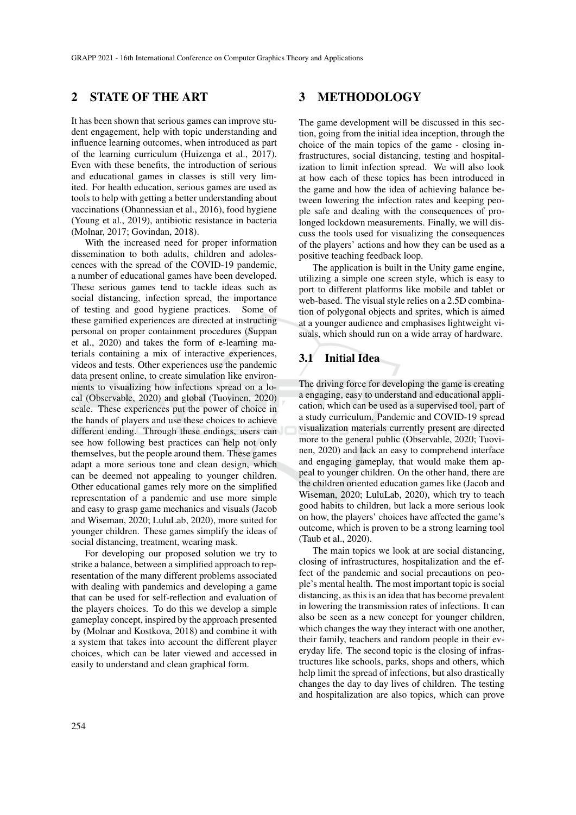# 2 STATE OF THE ART

It has been shown that serious games can improve student engagement, help with topic understanding and influence learning outcomes, when introduced as part of the learning curriculum (Huizenga et al., 2017). Even with these benefits, the introduction of serious and educational games in classes is still very limited. For health education, serious games are used as tools to help with getting a better understanding about vaccinations (Ohannessian et al., 2016), food hygiene (Young et al., 2019), antibiotic resistance in bacteria (Molnar, 2017; Govindan, 2018).

With the increased need for proper information dissemination to both adults, children and adolescences with the spread of the COVID-19 pandemic, a number of educational games have been developed. These serious games tend to tackle ideas such as social distancing, infection spread, the importance of testing and good hygiene practices. Some of these gamified experiences are directed at instructing personal on proper containment procedures (Suppan et al., 2020) and takes the form of e-learning materials containing a mix of interactive experiences, videos and tests. Other experiences use the pandemic data present online, to create simulation like environments to visualizing how infections spread on a local (Observable, 2020) and global (Tuovinen, 2020) scale. These experiences put the power of choice in the hands of players and use these choices to achieve different ending. Through these endings, users can see how following best practices can help not only themselves, but the people around them. These games adapt a more serious tone and clean design, which can be deemed not appealing to younger children. Other educational games rely more on the simplified representation of a pandemic and use more simple and easy to grasp game mechanics and visuals (Jacob and Wiseman, 2020; LuluLab, 2020), more suited for younger children. These games simplify the ideas of social distancing, treatment, wearing mask.

For developing our proposed solution we try to strike a balance, between a simplified approach to representation of the many different problems associated with dealing with pandemics and developing a game that can be used for self-reflection and evaluation of the players choices. To do this we develop a simple gameplay concept, inspired by the approach presented by (Molnar and Kostkova, 2018) and combine it with a system that takes into account the different player choices, which can be later viewed and accessed in easily to understand and clean graphical form.

## 3 METHODOLOGY

The game development will be discussed in this section, going from the initial idea inception, through the choice of the main topics of the game - closing infrastructures, social distancing, testing and hospitalization to limit infection spread. We will also look at how each of these topics has been introduced in the game and how the idea of achieving balance between lowering the infection rates and keeping people safe and dealing with the consequences of prolonged lockdown measurements. Finally, we will discuss the tools used for visualizing the consequences of the players' actions and how they can be used as a positive teaching feedback loop.

The application is built in the Unity game engine, utilizing a simple one screen style, which is easy to port to different platforms like mobile and tablet or web-based. The visual style relies on a 2.5D combination of polygonal objects and sprites, which is aimed at a younger audience and emphasises lightweight visuals, which should run on a wide array of hardware.

## 3.1 Initial Idea

The driving force for developing the game is creating a engaging, easy to understand and educational application, which can be used as a supervised tool, part of a study curriculum. Pandemic and COVID-19 spread visualization materials currently present are directed more to the general public (Observable, 2020; Tuovinen, 2020) and lack an easy to comprehend interface and engaging gameplay, that would make them appeal to younger children. On the other hand, there are the children oriented education games like (Jacob and Wiseman, 2020; LuluLab, 2020), which try to teach good habits to children, but lack a more serious look on how, the players' choices have affected the game's outcome, which is proven to be a strong learning tool (Taub et al., 2020).

The main topics we look at are social distancing, closing of infrastructures, hospitalization and the effect of the pandemic and social precautions on people's mental health. The most important topic is social distancing, as this is an idea that has become prevalent in lowering the transmission rates of infections. It can also be seen as a new concept for younger children, which changes the way they interact with one another, their family, teachers and random people in their everyday life. The second topic is the closing of infrastructures like schools, parks, shops and others, which help limit the spread of infections, but also drastically changes the day to day lives of children. The testing and hospitalization are also topics, which can prove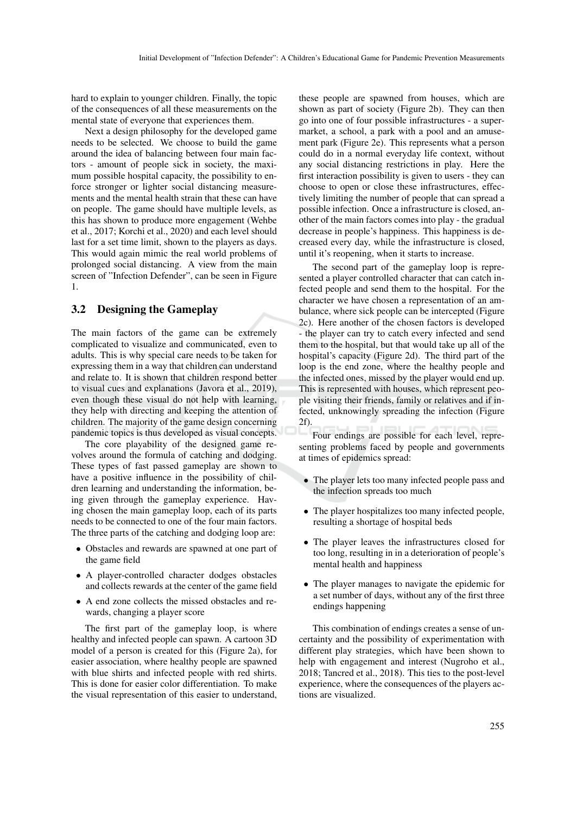hard to explain to younger children. Finally, the topic of the consequences of all these measurements on the mental state of everyone that experiences them.

Next a design philosophy for the developed game needs to be selected. We choose to build the game around the idea of balancing between four main factors - amount of people sick in society, the maximum possible hospital capacity, the possibility to enforce stronger or lighter social distancing measurements and the mental health strain that these can have on people. The game should have multiple levels, as this has shown to produce more engagement (Wehbe et al., 2017; Korchi et al., 2020) and each level should last for a set time limit, shown to the players as days. This would again mimic the real world problems of prolonged social distancing. A view from the main screen of "Infection Defender", can be seen in Figure 1.

#### 3.2 Designing the Gameplay

The main factors of the game can be extremely complicated to visualize and communicated, even to adults. This is why special care needs to be taken for expressing them in a way that children can understand and relate to. It is shown that children respond better to visual cues and explanations (Javora et al., 2019), even though these visual do not help with learning, they help with directing and keeping the attention of children. The majority of the game design concerning pandemic topics is thus developed as visual concepts.

The core playability of the designed game revolves around the formula of catching and dodging. These types of fast passed gameplay are shown to have a positive influence in the possibility of children learning and understanding the information, being given through the gameplay experience. Having chosen the main gameplay loop, each of its parts needs to be connected to one of the four main factors. The three parts of the catching and dodging loop are:

- Obstacles and rewards are spawned at one part of the game field
- A player-controlled character dodges obstacles and collects rewards at the center of the game field
- A end zone collects the missed obstacles and rewards, changing a player score

The first part of the gameplay loop, is where healthy and infected people can spawn. A cartoon 3D model of a person is created for this (Figure 2a), for easier association, where healthy people are spawned with blue shirts and infected people with red shirts. This is done for easier color differentiation. To make the visual representation of this easier to understand,

these people are spawned from houses, which are shown as part of society (Figure 2b). They can then go into one of four possible infrastructures - a supermarket, a school, a park with a pool and an amusement park (Figure 2e). This represents what a person could do in a normal everyday life context, without any social distancing restrictions in play. Here the first interaction possibility is given to users - they can choose to open or close these infrastructures, effectively limiting the number of people that can spread a possible infection. Once a infrastructure is closed, another of the main factors comes into play - the gradual decrease in people's happiness. This happiness is decreased every day, while the infrastructure is closed, until it's reopening, when it starts to increase.

The second part of the gameplay loop is represented a player controlled character that can catch infected people and send them to the hospital. For the character we have chosen a representation of an ambulance, where sick people can be intercepted (Figure 2c). Here another of the chosen factors is developed - the player can try to catch every infected and send them to the hospital, but that would take up all of the hospital's capacity (Figure 2d). The third part of the loop is the end zone, where the healthy people and the infected ones, missed by the player would end up. This is represented with houses, which represent people visiting their friends, family or relatives and if infected, unknowingly spreading the infection (Figure 2f).

Four endings are possible for each level, representing problems faced by people and governments at times of epidemics spread:

- The player lets too many infected people pass and the infection spreads too much
- The player hospitalizes too many infected people, resulting a shortage of hospital beds
- The player leaves the infrastructures closed for too long, resulting in in a deterioration of people's mental health and happiness
- The player manages to navigate the epidemic for a set number of days, without any of the first three endings happening

This combination of endings creates a sense of uncertainty and the possibility of experimentation with different play strategies, which have been shown to help with engagement and interest (Nugroho et al., 2018; Tancred et al., 2018). This ties to the post-level experience, where the consequences of the players actions are visualized.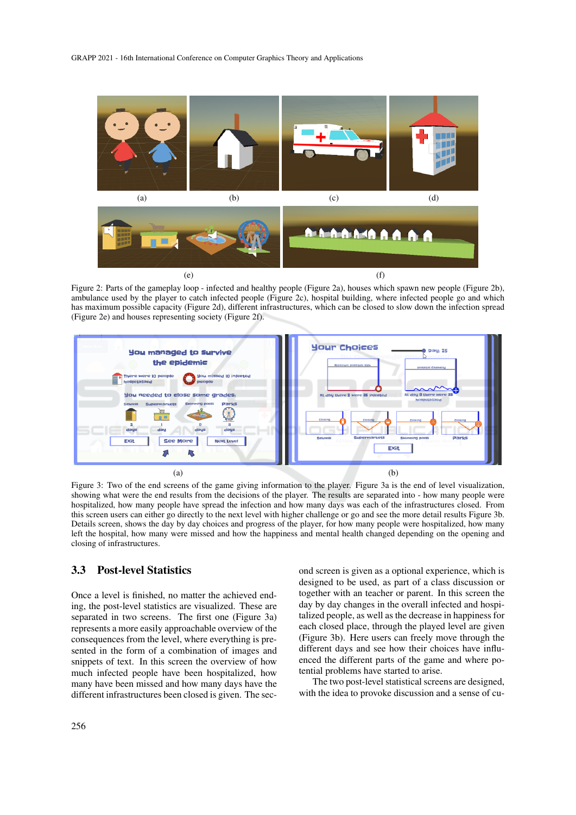

Figure 2: Parts of the gameplay loop - infected and healthy people (Figure 2a), houses which spawn new people (Figure 2b), ambulance used by the player to catch infected people (Figure 2c), hospital building, where infected people go and which has maximum possible capacity (Figure 2d), different infrastructures, which can be closed to slow down the infection spread (Figure 2e) and houses representing society (Figure 2f).



Figure 3: Two of the end screens of the game giving information to the player. Figure 3a is the end of level visualization, showing what were the end results from the decisions of the player. The results are separated into - how many people were hospitalized, how many people have spread the infection and how many days was each of the infrastructures closed. From this screen users can either go directly to the next level with higher challenge or go and see the more detail results Figure 3b. Details screen, shows the day by day choices and progress of the player, for how many people were hospitalized, how many left the hospital, how many were missed and how the happiness and mental health changed depending on the opening and closing of infrastructures.

#### 3.3 Post-level Statistics

Once a level is finished, no matter the achieved ending, the post-level statistics are visualized. These are separated in two screens. The first one (Figure 3a) represents a more easily approachable overview of the consequences from the level, where everything is presented in the form of a combination of images and snippets of text. In this screen the overview of how much infected people have been hospitalized, how many have been missed and how many days have the different infrastructures been closed is given. The second screen is given as a optional experience, which is designed to be used, as part of a class discussion or together with an teacher or parent. In this screen the day by day changes in the overall infected and hospitalized people, as well as the decrease in happiness for each closed place, through the played level are given (Figure 3b). Here users can freely move through the different days and see how their choices have influenced the different parts of the game and where potential problems have started to arise.

The two post-level statistical screens are designed, with the idea to provoke discussion and a sense of cu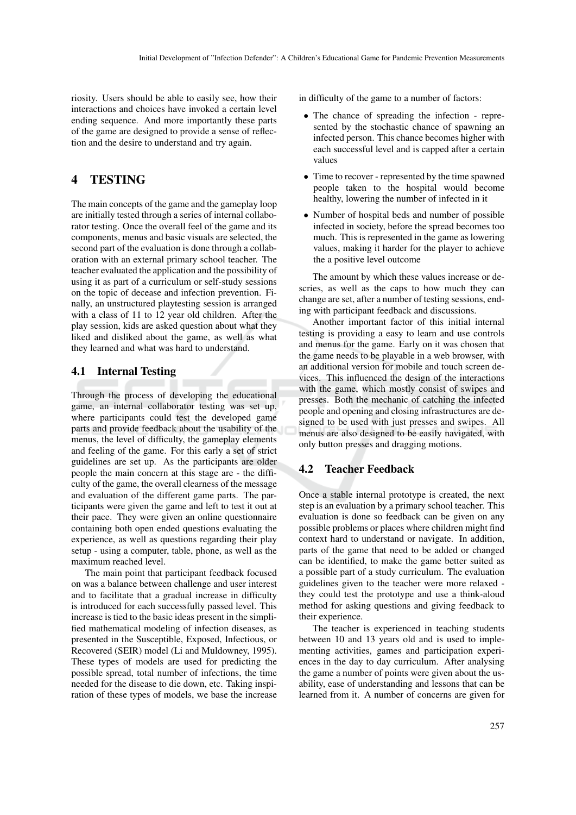riosity. Users should be able to easily see, how their interactions and choices have invoked a certain level ending sequence. And more importantly these parts of the game are designed to provide a sense of reflection and the desire to understand and try again.

# 4 TESTING

The main concepts of the game and the gameplay loop are initially tested through a series of internal collaborator testing. Once the overall feel of the game and its components, menus and basic visuals are selected, the second part of the evaluation is done through a collaboration with an external primary school teacher. The teacher evaluated the application and the possibility of using it as part of a curriculum or self-study sessions on the topic of decease and infection prevention. Finally, an unstructured playtesting session is arranged with a class of 11 to 12 year old children. After the play session, kids are asked question about what they liked and disliked about the game, as well as what they learned and what was hard to understand.

#### 4.1 Internal Testing

Through the process of developing the educational game, an internal collaborator testing was set up, where participants could test the developed game parts and provide feedback about the usability of the menus, the level of difficulty, the gameplay elements and feeling of the game. For this early a set of strict guidelines are set up. As the participants are older people the main concern at this stage are - the difficulty of the game, the overall clearness of the message and evaluation of the different game parts. The participants were given the game and left to test it out at their pace. They were given an online questionnaire containing both open ended questions evaluating the experience, as well as questions regarding their play setup - using a computer, table, phone, as well as the maximum reached level.

The main point that participant feedback focused on was a balance between challenge and user interest and to facilitate that a gradual increase in difficulty is introduced for each successfully passed level. This increase is tied to the basic ideas present in the simplified mathematical modeling of infection diseases, as presented in the Susceptible, Exposed, Infectious, or Recovered (SEIR) model (Li and Muldowney, 1995). These types of models are used for predicting the possible spread, total number of infections, the time needed for the disease to die down, etc. Taking inspiration of these types of models, we base the increase

in difficulty of the game to a number of factors:

- The chance of spreading the infection represented by the stochastic chance of spawning an infected person. This chance becomes higher with each successful level and is capped after a certain values
- Time to recover represented by the time spawned people taken to the hospital would become healthy, lowering the number of infected in it
- Number of hospital beds and number of possible infected in society, before the spread becomes too much. This is represented in the game as lowering values, making it harder for the player to achieve the a positive level outcome

The amount by which these values increase or descries, as well as the caps to how much they can change are set, after a number of testing sessions, ending with participant feedback and discussions.

Another important factor of this initial internal testing is providing a easy to learn and use controls and menus for the game. Early on it was chosen that the game needs to be playable in a web browser, with an additional version for mobile and touch screen devices. This influenced the design of the interactions with the game, which mostly consist of swipes and presses. Both the mechanic of catching the infected people and opening and closing infrastructures are designed to be used with just presses and swipes. All menus are also designed to be easily navigated, with only button presses and dragging motions.

#### 4.2 Teacher Feedback

Once a stable internal prototype is created, the next step is an evaluation by a primary school teacher. This evaluation is done so feedback can be given on any possible problems or places where children might find context hard to understand or navigate. In addition, parts of the game that need to be added or changed can be identified, to make the game better suited as a possible part of a study curriculum. The evaluation guidelines given to the teacher were more relaxed they could test the prototype and use a think-aloud method for asking questions and giving feedback to their experience.

The teacher is experienced in teaching students between 10 and 13 years old and is used to implementing activities, games and participation experiences in the day to day curriculum. After analysing the game a number of points were given about the usability, ease of understanding and lessons that can be learned from it. A number of concerns are given for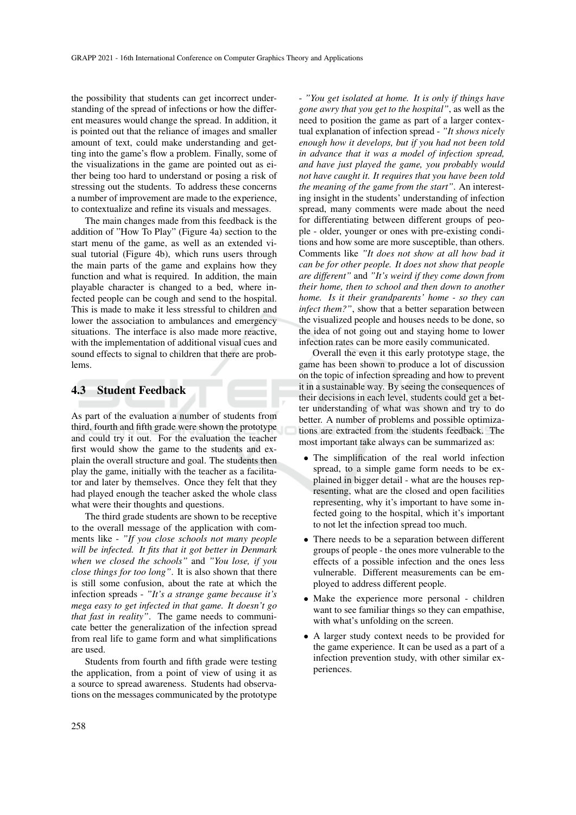the possibility that students can get incorrect understanding of the spread of infections or how the different measures would change the spread. In addition, it is pointed out that the reliance of images and smaller amount of text, could make understanding and getting into the game's flow a problem. Finally, some of the visualizations in the game are pointed out as either being too hard to understand or posing a risk of stressing out the students. To address these concerns a number of improvement are made to the experience, to contextualize and refine its visuals and messages.

The main changes made from this feedback is the addition of "How To Play" (Figure 4a) section to the start menu of the game, as well as an extended visual tutorial (Figure 4b), which runs users through the main parts of the game and explains how they function and what is required. In addition, the main playable character is changed to a bed, where infected people can be cough and send to the hospital. This is made to make it less stressful to children and lower the association to ambulances and emergency situations. The interface is also made more reactive, with the implementation of additional visual cues and sound effects to signal to children that there are problems.

#### 4.3 Student Feedback

As part of the evaluation a number of students from third, fourth and fifth grade were shown the prototype and could try it out. For the evaluation the teacher first would show the game to the students and explain the overall structure and goal. The students then play the game, initially with the teacher as a facilitator and later by themselves. Once they felt that they had played enough the teacher asked the whole class what were their thoughts and questions.

The third grade students are shown to be receptive to the overall message of the application with comments like - *"If you close schools not many people will be infected. It fits that it got better in Denmark when we closed the schools"* and *"You lose, if you close things for too long"*. It is also shown that there is still some confusion, about the rate at which the infection spreads - *"It's a strange game because it's mega easy to get infected in that game. It doesn't go that fast in reality"*. The game needs to communicate better the generalization of the infection spread from real life to game form and what simplifications are used.

Students from fourth and fifth grade were testing the application, from a point of view of using it as a source to spread awareness. Students had observations on the messages communicated by the prototype

- *"You get isolated at home. It is only if things have gone awry that you get to the hospital"*, as well as the need to position the game as part of a larger contextual explanation of infection spread - *"It shows nicely enough how it develops, but if you had not been told in advance that it was a model of infection spread, and have just played the game, you probably would not have caught it. It requires that you have been told the meaning of the game from the start"*. An interesting insight in the students' understanding of infection spread, many comments were made about the need for differentiating between different groups of people - older, younger or ones with pre-existing conditions and how some are more susceptible, than others. Comments like *"It does not show at all how bad it can be for other people. It does not show that people are different"* and *"It's weird if they come down from their home, then to school and then down to another home. Is it their grandparents' home - so they can infect them?"*, show that a better separation between the visualized people and houses needs to be done, so the idea of not going out and staying home to lower infection rates can be more easily communicated.

Overall the even it this early prototype stage, the game has been shown to produce a lot of discussion on the topic of infection spreading and how to prevent it in a sustainable way. By seeing the consequences of their decisions in each level, students could get a better understanding of what was shown and try to do better. A number of problems and possible optimizations are extracted from the students feedback. The most important take always can be summarized as:

- The simplification of the real world infection spread, to a simple game form needs to be explained in bigger detail - what are the houses representing, what are the closed and open facilities representing, why it's important to have some infected going to the hospital, which it's important to not let the infection spread too much.
- There needs to be a separation between different groups of people - the ones more vulnerable to the effects of a possible infection and the ones less vulnerable. Different measurements can be employed to address different people.
- Make the experience more personal children want to see familiar things so they can empathise, with what's unfolding on the screen.
- A larger study context needs to be provided for the game experience. It can be used as a part of a infection prevention study, with other similar experiences.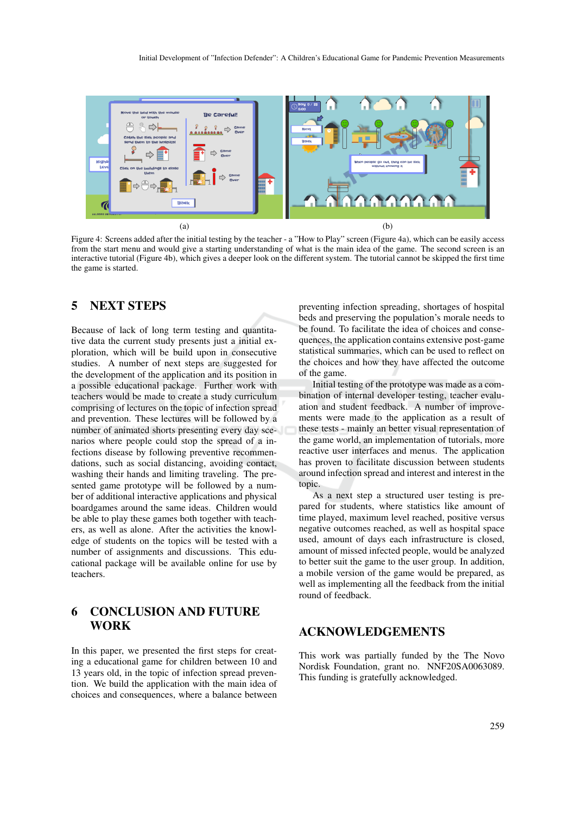

Figure 4: Screens added after the initial testing by the teacher - a "How to Play" screen (Figure 4a), which can be easily access from the start menu and would give a starting understanding of what is the main idea of the game. The second screen is an interactive tutorial (Figure 4b), which gives a deeper look on the different system. The tutorial cannot be skipped the first time the game is started.

# 5 NEXT STEPS

Because of lack of long term testing and quantitative data the current study presents just a initial exploration, which will be build upon in consecutive studies. A number of next steps are suggested for the development of the application and its position in a possible educational package. Further work with teachers would be made to create a study curriculum comprising of lectures on the topic of infection spread and prevention. These lectures will be followed by a number of animated shorts presenting every day scenarios where people could stop the spread of a infections disease by following preventive recommendations, such as social distancing, avoiding contact, washing their hands and limiting traveling. The presented game prototype will be followed by a number of additional interactive applications and physical boardgames around the same ideas. Children would be able to play these games both together with teachers, as well as alone. After the activities the knowledge of students on the topics will be tested with a number of assignments and discussions. This educational package will be available online for use by teachers.

# 6 CONCLUSION AND FUTURE WORK

In this paper, we presented the first steps for creating a educational game for children between 10 and 13 years old, in the topic of infection spread prevention. We build the application with the main idea of choices and consequences, where a balance between preventing infection spreading, shortages of hospital beds and preserving the population's morale needs to be found. To facilitate the idea of choices and consequences, the application contains extensive post-game statistical summaries, which can be used to reflect on the choices and how they have affected the outcome of the game.

Initial testing of the prototype was made as a combination of internal developer testing, teacher evaluation and student feedback. A number of improvements were made to the application as a result of these tests - mainly an better visual representation of the game world, an implementation of tutorials, more reactive user interfaces and menus. The application has proven to facilitate discussion between students around infection spread and interest and interest in the topic.

As a next step a structured user testing is prepared for students, where statistics like amount of time played, maximum level reached, positive versus negative outcomes reached, as well as hospital space used, amount of days each infrastructure is closed, amount of missed infected people, would be analyzed to better suit the game to the user group. In addition, a mobile version of the game would be prepared, as well as implementing all the feedback from the initial round of feedback.

## ACKNOWLEDGEMENTS

This work was partially funded by the The Novo Nordisk Foundation, grant no. NNF20SA0063089. This funding is gratefully acknowledged.